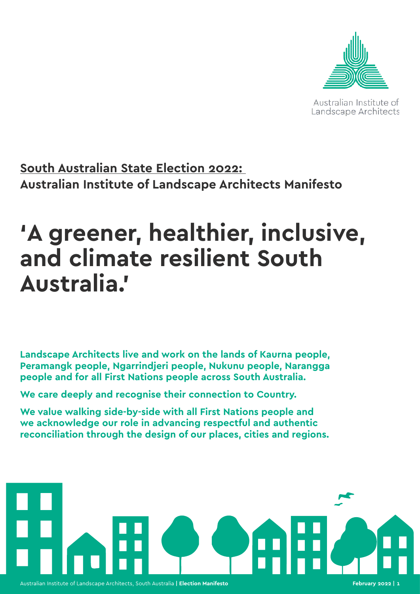

Australian Institute of Landscape Architects

# **South Australian State Election 2022: Australian Institute of Landscape Architects Manifesto**

# **'A greener, healthier, inclusive, and climate resilient South Australia.'**

**Landscape Architects live and work on the lands of Kaurna people, Peramangk people, Ngarrindjeri people, Nukunu people, Narangga people and for all First Nations people across South Australia.** 

**We care deeply and recognise their connection to Country.** 

**We value walking side-by-side with all First Nations people and we acknowledge our role in advancing respectful and authentic reconciliation through the design of our places, cities and regions.**

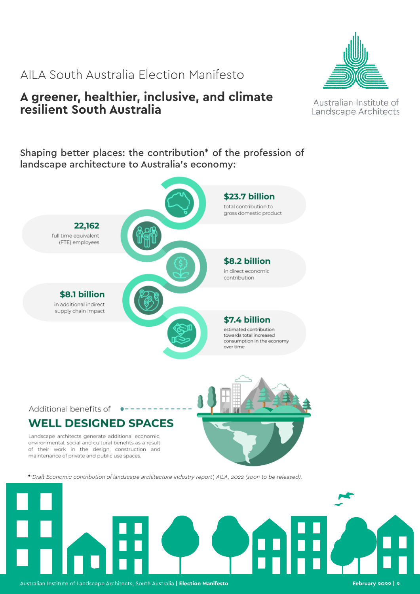# **A greener, healthier, inclusive, and climate resilient South Australia**

Australian Institute of Landscape Architects

# Shaping better places: the contribution\* of the profession of landscape architecture to Australia's economy:



#### Additional benefits of

# **WELL DESIGNED SPACES**

Landscape architects generate additional economic, environmental, social and cultural benefits as a result of their work in the design, construction and maintenance of private and public use spaces.



**\***'Draft Economic contribution of landscape architecture industry report', AILA, 2022 (soon to be released).



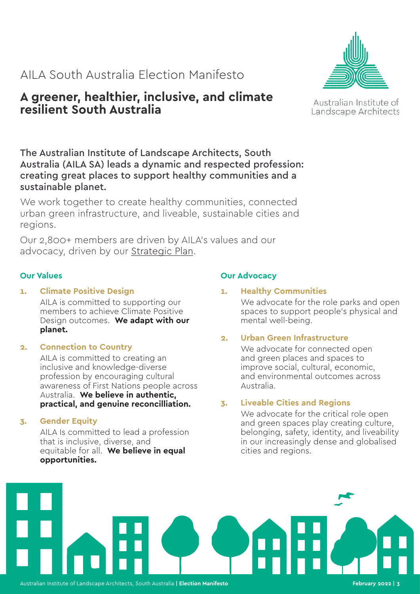# **A greener, healthier, inclusive, and climate resilient South Australia**

The Australian Institute of Landscape Architects, South Australia (AILA SA) leads a dynamic and respected profession: creating great places to support healthy communities and a sustainable planet.

We work together to create healthy communities, connected urban green infrastructure, and liveable, sustainable cities and regions.

Our 2,800+ members are driven by AILA's values and our advocacy, driven by our [Strategic Plan](https://aila.org.au/common/Uploaded%20files/_AILA/Governance/AILA%20Strategic%20Plan%202021.pdf).

### **Our Values**

# **1. Climate Positive Design**

AILA is committed to supporting our members to achieve Climate Positive Design outcomes. **We adapt with our planet.** 

### **2. Connection to Country**

AILA is committed to creating an inclusive and knowledge-diverse profession by encouraging cultural awareness of First Nations people across Australia. **We believe in authentic, practical, and genuine reconcilliation.**

### **3. Gender Equity**

AILA Is committed to lead a profession that is inclusive, diverse, and equitable for all. **We believe in equal opportunities.** 

# **Our Advocacy**

# **1. Healthy Communities**

We advocate for the role parks and open spaces to support people's physical and mental well-being.

# **2. Urban Green Infrastructure**

We advocate for connected open and green places and spaces to improve social, cultural, economic, and environmental outcomes across Australia.

### **3. Liveable Cities and Regions**

We advocate for the critical role open and green spaces play creating culture, belonging, safety, identity, and liveability in our increasingly dense and globalised cities and regions.







### Australian Institute of Landscape Architects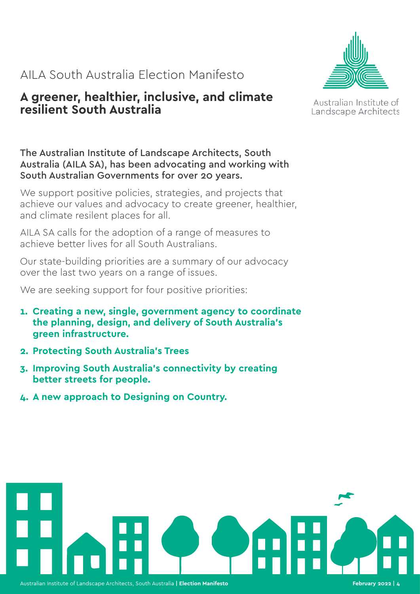# **A greener, healthier, inclusive, and climate resilient South Australia**



Australian Institute of Landscape Architects

The Australian Institute of Landscape Architects, South Australia (AILA SA), has been advocating and working with South Australian Governments for over 20 years.

We support positive policies, strategies, and projects that achieve our values and advocacy to create greener, healthier, and climate resilent places for all.

AILA SA calls for the adoption of a range of measures to achieve better lives for all South Australians.

Our state-building priorities are a summary of our advocacy over the last two years on a range of issues.

We are seeking support for four positive priorities:

- **1. Creating a new, single, government agency to coordinate the planning, design, and delivery of South Australia's green infrastructure.**
- **2. Protecting South Australia's Trees**
- **3. Improving South Australia's connectivity by creating better streets for people.**
- **4. A new approach to Designing on Country.**

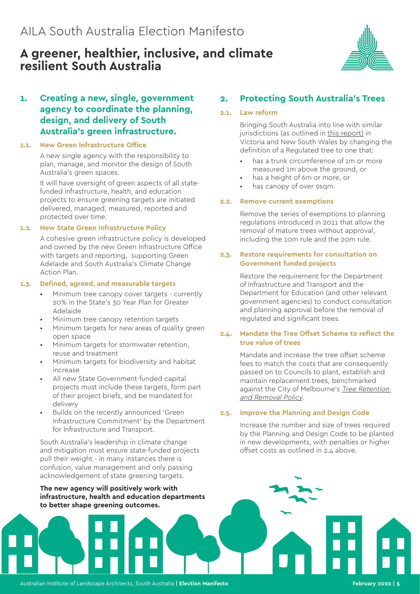# **A greener, healthier, inclusive, and climate resilient South Australia**



# **1. Creating a new, single, government agency to coordinate the planning, design, and delivery of South Australia's green infrastructure.**

#### **1.1. New Green Infrastructure Office**

A new single agency with the responsibility to plan, manage, and monitor the design of South Australia's green spaces.

It will have oversight of green aspects of all statefunded infrastructure, health, and education projects to ensure greening targets are initiated delivered, managed, measured, reported and protected over time.

#### **1.2. New State Green Infrastructure Policy**

A cohesive green infrastructure policy is developed and owned by the new Green Infrastructure Office with targets and reporting, supporting Green Adelaide and South Australia's Climate Change Action Plan.

#### **1.3. Defined, agreed, and measurable targets**

- Minimum tree canopy cover targets currently 20% in the State's 30 Year Plan for Greater Adelaide
- Minimum tree canopy retention targets
- Minimum targets for new areas of quality green open space
- Minimum targets for stormwater retention. reuse and treatment
- Minimum targets for biodiversity and habitat increase
- All new State Government-funded capital projects must include these targets, form part of their project briefs, and be mandated for delivery
- Builds on the recently announced 'Green Infrastructure Commitment' by the Department for Infrastructure and Transport.

South Australia's leadership in climate change and mitigation must ensure state-funded projects pull their weight - in many instances there is confusion, value management and only passing acknowledgement of state greening targets.

**The new agency will positively work with infrastructure, health and education departments to better shape greening outcomes.** 

# **2. Protecting South Australia's Trees**

#### **2.1. Law reform**

Bringing South Australia into line with similar jurisdictions (as outlined in [this report\)](https://www.conservationsa.org.au/tree_laws_21) in Victoria and New South Wales by changing the definition of a Regulated tree to one that:

- has a trunk circumference of 1m or more measured 1m above the ground, or
- has a height of 6m or more, or
- has canopy of over 9sqm.

#### **2.2. Remove current exemptions**

Remove the series of exemptions to planning regulations introduced in 2011 that allow the removal of mature trees without approval, including the 10m rule and the 20m rule.

#### **2.3. Restore requirements for consultation on Government funded projects**

Restore the requirement for the Department of Infrastructure and Transport and the Department for Education (and other relevant government agencies) to conduct consultation and planning approval before the removal of regulated and significant trees.

#### **2.4. Mandate the Tree Offset Scheme to reflect the true value of trees**

Mandate and increase the tree offset scheme fees to match the costs that are consequently passed on to Councils to plant, establish and maintain replacement trees, benchmarked against the City of Melbourne's Tree Retention [and Removal Policy](https://www.melbourne.vic.gov.au/community/greening-the-city/tree-protection-management/Pages/tree-protection-policy.aspx).

#### **2.5. Improve the Planning and Design Code**

Increase the number and size of trees required by the Planning and Design Code to be planted in new developments, with penalties or higher offset costs as outlined in 2.4 above.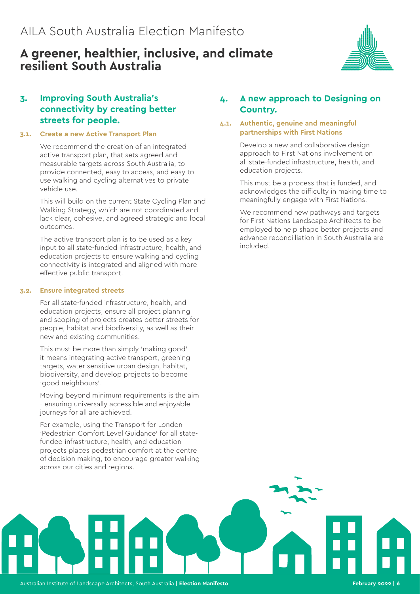# **A greener, healthier, inclusive, and climate resilient South Australia**



# **3. Improving South Australia's connectivity by creating better streets for people.**

#### **3.1. Create a new Active Transport Plan**

We recommend the creation of an integrated active transport plan, that sets agreed and measurable targets across South Australia, to provide connected, easy to access, and easy to use walking and cycling alternatives to private vehicle use.

This will build on the current State Cycling Plan and Walking Strategy, which are not coordinated and lack clear, cohesive, and agreed strategic and local outcomes.

The active transport plan is to be used as a key input to all state-funded infrastructure, health, and education projects to ensure walking and cycling connectivity is integrated and aligned with more effective public transport.

#### **3.2. Ensure integrated streets**

For all state-funded infrastructure, health, and education projects, ensure all project planning and scoping of projects creates better streets for people, habitat and biodiversity, as well as their new and existing communities.

This must be more than simply 'making good' it means integrating active transport, greening targets, water sensitive urban design, habitat, biodiversity, and develop projects to become 'good neighbours'.

Moving beyond minimum requirements is the aim - ensuring universally accessible and enjoyable journeys for all are achieved.

For example, using the Transport for London 'Pedestrian Comfort Level Guidance' for all statefunded infrastructure, health, and education projects places pedestrian comfort at the centre of decision making, to encourage greater walking across our cities and regions.

### **4. A new approach to Designing on Country.**

#### **4.1. Authentic, genuine and meaningful partnerships with First Nations**

Develop a new and collaborative design approach to First Nations involvement on all state-funded infrastructure, health, and education projects.

This must be a process that is funded, and acknowledges the difficulty in making time to meaningfully engage with First Nations.

We recommend new pathways and targets for First Nations Landscape Architects to be employed to help shape better projects and advance reconcilliation in South Australia are included.